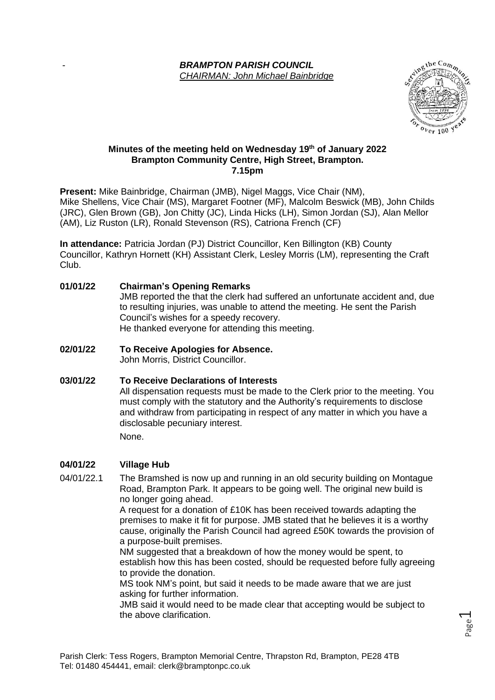### - *BRAMPTON PARISH COUNCIL CHAIRMAN: John Michael Bainbridge*



Page  $\overline{\phantom{0}}$ 

### **Minutes of the meeting held on Wednesday 19 th of January 2022 Brampton Community Centre, High Street, Brampton. 7.15pm**

**Present:** Mike Bainbridge, Chairman (JMB), Nigel Maggs, Vice Chair (NM), Mike Shellens, Vice Chair (MS), Margaret Footner (MF), Malcolm Beswick (MB), John Childs (JRC), Glen Brown (GB), Jon Chitty (JC), Linda Hicks (LH), Simon Jordan (SJ), Alan Mellor (AM), Liz Ruston (LR), Ronald Stevenson (RS), Catriona French (CF)

**In attendance:** Patricia Jordan (PJ) District Councillor, Ken Billington (KB) County Councillor, Kathryn Hornett (KH) Assistant Clerk, Lesley Morris (LM), representing the Craft Club.

# **01/01/22 Chairman's Opening Remarks** JMB reported the that the clerk had suffered an unfortunate accident and, due to resulting injuries, was unable to attend the meeting. He sent the Parish Council's wishes for a speedy recovery. He thanked everyone for attending this meeting.

**02/01/22 To Receive Apologies for Absence.** John Morris, District Councillor.

## **03/01/22 To Receive Declarations of Interests** All dispensation requests must be made to the Clerk prior to the meeting. You must comply with the statutory and the Authority's requirements to disclose and withdraw from participating in respect of any matter in which you have a disclosable pecuniary interest. None.

## **04/01/22 Village Hub**

04/01/22.1 The Bramshed is now up and running in an old security building on Montague Road, Brampton Park. It appears to be going well. The original new build is no longer going ahead.

A request for a donation of £10K has been received towards adapting the premises to make it fit for purpose. JMB stated that he believes it is a worthy cause, originally the Parish Council had agreed £50K towards the provision of a purpose-built premises.

NM suggested that a breakdown of how the money would be spent, to establish how this has been costed, should be requested before fully agreeing to provide the donation.

MS took NM's point, but said it needs to be made aware that we are just asking for further information.

JMB said it would need to be made clear that accepting would be subject to the above clarification.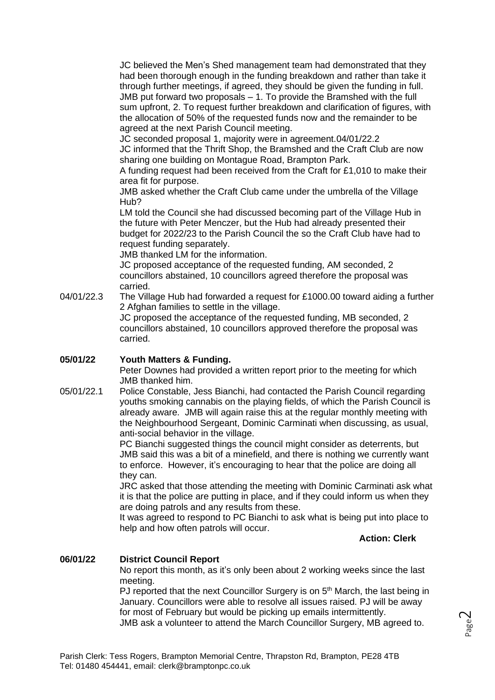JC believed the Men's Shed management team had demonstrated that they had been thorough enough in the funding breakdown and rather than take it through further meetings, if agreed, they should be given the funding in full. JMB put forward two proposals – 1. To provide the Bramshed with the full sum upfront, 2. To request further breakdown and clarification of figures, with the allocation of 50% of the requested funds now and the remainder to be agreed at the next Parish Council meeting.

JC seconded proposal 1, majority were in agreement.04/01/22.2

JC informed that the Thrift Shop, the Bramshed and the Craft Club are now sharing one building on Montague Road, Brampton Park.

A funding request had been received from the Craft for £1,010 to make their area fit for purpose.

JMB asked whether the Craft Club came under the umbrella of the Village Hub?

LM told the Council she had discussed becoming part of the Village Hub in the future with Peter Menczer, but the Hub had already presented their budget for 2022/23 to the Parish Council the so the Craft Club have had to request funding separately.

JMB thanked LM for the information.

JC proposed acceptance of the requested funding, AM seconded, 2 councillors abstained, 10 councillors agreed therefore the proposal was carried.

04/01/22.3 The Village Hub had forwarded a request for £1000.00 toward aiding a further 2 Afghan families to settle in the village.

JC proposed the acceptance of the requested funding, MB seconded, 2 councillors abstained, 10 councillors approved therefore the proposal was carried.

### **05/01/22 Youth Matters & Funding.**

Peter Downes had provided a written report prior to the meeting for which JMB thanked him.

05/01/22.1 Police Constable, Jess Bianchi, had contacted the Parish Council regarding youths smoking cannabis on the playing fields, of which the Parish Council is already aware. JMB will again raise this at the regular monthly meeting with the Neighbourhood Sergeant, Dominic Carminati when discussing, as usual, anti-social behavior in the village.

> PC Bianchi suggested things the council might consider as deterrents, but JMB said this was a bit of a minefield, and there is nothing we currently want to enforce. However, it's encouraging to hear that the police are doing all they can.

JRC asked that those attending the meeting with Dominic Carminati ask what it is that the police are putting in place, and if they could inform us when they are doing patrols and any results from these.

It was agreed to respond to PC Bianchi to ask what is being put into place to help and how often patrols will occur.

**Action: Clerk**

### **06/01/22 District Council Report**

No report this month, as it's only been about 2 working weeks since the last meeting.

PJ reported that the next Councillor Surgery is on 5<sup>th</sup> March, the last being in January. Councillors were able to resolve all issues raised. PJ will be away for most of February but would be picking up emails intermittently. JMB ask a volunteer to attend the March Councillor Surgery, MB agreed to.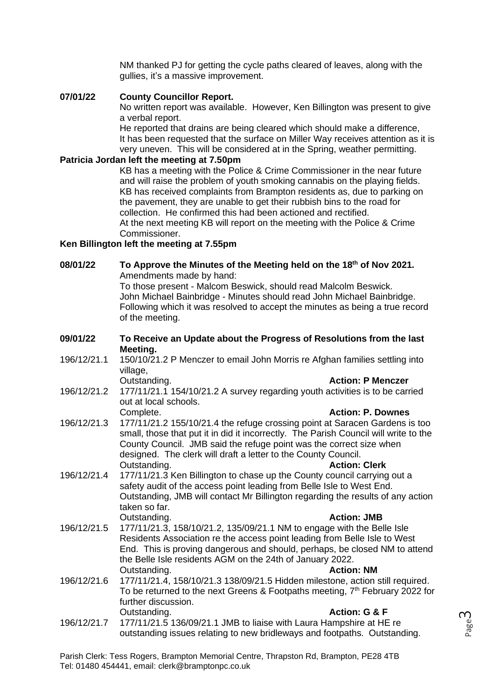NM thanked PJ for getting the cycle paths cleared of leaves, along with the gullies, it's a massive improvement.

### **07/01/22 County Councillor Report.**

No written report was available. However, Ken Billington was present to give a verbal report.

He reported that drains are being cleared which should make a difference, It has been requested that the surface on Miller Way receives attention as it is very uneven. This will be considered at in the Spring, weather permitting.

### **Patricia Jordan left the meeting at 7.50pm**

KB has a meeting with the Police & Crime Commissioner in the near future and will raise the problem of youth smoking cannabis on the playing fields. KB has received complaints from Brampton residents as, due to parking on the pavement, they are unable to get their rubbish bins to the road for collection. He confirmed this had been actioned and rectified. At the next meeting KB will report on the meeting with the Police & Crime Commissioner.

### **Ken Billington left the meeting at 7.55pm**

## **08/01/22 To Approve the Minutes of the Meeting held on the 18th of Nov 2021.** Amendments made by hand:

To those present - Malcom Beswick, should read Malcolm Beswick. John Michael Bainbridge - Minutes should read John Michael Bainbridge. Following which it was resolved to accept the minutes as being a true record of the meeting.

### **09/01/22 To Receive an Update about the Progress of Resolutions from the last Meeting.**

196/12/21.1 150/10/21.2 P Menczer to email John Morris re Afghan families settling into village,<br>Outstanding. **Action: P Menczer** 

196/12/21.2 177/11/21.1 154/10/21.2 A survey regarding youth activities is to be carried out at local schools.

- Complete. **Action: P. Downes** 196/12/21.3 177/11/21.2 155/10/21.4 the refuge crossing point at Saracen Gardens is too small, those that put it in did it incorrectly. The Parish Council will write to the County Council. JMB said the refuge point was the correct size when designed. The clerk will draft a letter to the County Council. Outstanding. **Action: Clerk**
- 196/12/21.4 177/11/21.3 Ken Billington to chase up the County council carrying out a safety audit of the access point leading from Belle Isle to West End. Outstanding, JMB will contact Mr Billington regarding the results of any action taken so far. Outstanding. **Action: JMB**
- 196/12/21.5 177/11/21.3, 158/10/21.2, 135/09/21.1 NM to engage with the Belle Isle Residents Association re the access point leading from Belle Isle to West End. This is proving dangerous and should, perhaps, be closed NM to attend the Belle Isle residents AGM on the 24th of January 2022. Outstanding. **Action: NM**
- 196/12/21.6 177/11/21.4, 158/10/21.3 138/09/21.5 Hidden milestone, action still required. To be returned to the next Greens & Footpaths meeting,  $7<sup>th</sup>$  February 2022 for further discussion. Outstanding. **Action: G & F**
- 196/12/21.7 177/11/21.5 136/09/21.1 JMB to liaise with Laura Hampshire at HE re outstanding issues relating to new bridleways and footpaths. Outstanding.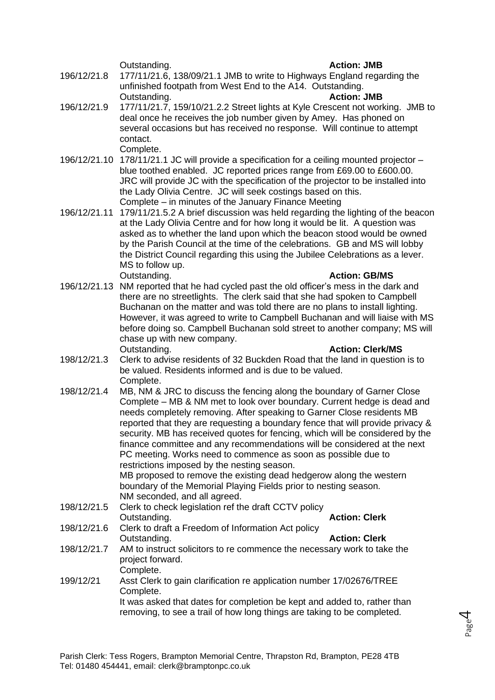### Outstanding. **Action: JMB**

- 196/12/21.8 177/11/21.6, 138/09/21.1 JMB to write to Highways England regarding the unfinished footpath from West End to the A14. Outstanding. Outstanding. **Action: JMB**
- 196/12/21.9 177/11/21.7, 159/10/21.2.2 Street lights at Kyle Crescent not working. JMB to deal once he receives the job number given by Amey. Has phoned on several occasions but has received no response. Will continue to attempt contact. Complete.
- 196/12/21.10 178/11/21.1 JC will provide a specification for a ceiling mounted projector blue toothed enabled. JC reported prices range from £69.00 to £600.00. JRC will provide JC with the specification of the projector to be installed into the Lady Olivia Centre. JC will seek costings based on this. Complete – in minutes of the January Finance Meeting
- 196/12/21.11 179/11/21.5.2 A brief discussion was held regarding the lighting of the beacon at the Lady Olivia Centre and for how long it would be lit. A question was asked as to whether the land upon which the beacon stood would be owned by the Parish Council at the time of the celebrations. GB and MS will lobby the District Council regarding this using the Jubilee Celebrations as a lever. MS to follow up. Outstanding. **Action: GB/MS**

Page 4

- 196/12/21.13 NM reported that he had cycled past the old officer's mess in the dark and there are no streetlights. The clerk said that she had spoken to Campbell Buchanan on the matter and was told there are no plans to install lighting. However, it was agreed to write to Campbell Buchanan and will liaise with MS before doing so. Campbell Buchanan sold street to another company; MS will chase up with new company.<br>Outstanding. **Action: Clerk/MS**
- 198/12/21.3 Clerk to advise residents of 32 Buckden Road that the land in question is to be valued. Residents informed and is due to be valued. Complete.
- 198/12/21.4 MB, NM & JRC to discuss the fencing along the boundary of Garner Close Complete – MB & NM met to look over boundary. Current hedge is dead and needs completely removing. After speaking to Garner Close residents MB reported that they are requesting a boundary fence that will provide privacy & security. MB has received quotes for fencing, which will be considered by the finance committee and any recommendations will be considered at the next PC meeting. Works need to commence as soon as possible due to restrictions imposed by the nesting season. MB proposed to remove the existing dead hedgerow along the western

boundary of the Memorial Playing Fields prior to nesting season. NM seconded, and all agreed.

- 198/12/21.5 Clerk to check legislation ref the draft CCTV policy Outstanding. **Action: Clerk** 198/12/21.6 Clerk to draft a Freedom of Information Act policy
- Outstanding. **Action: Clerk** 198/12/21.7 AM to instruct solicitors to re commence the necessary work to take the project forward. Complete.
- 199/12/21 Asst Clerk to gain clarification re application number 17/02676/TREE Complete. It was asked that dates for completion be kept and added to, rather than removing, to see a trail of how long things are taking to be completed.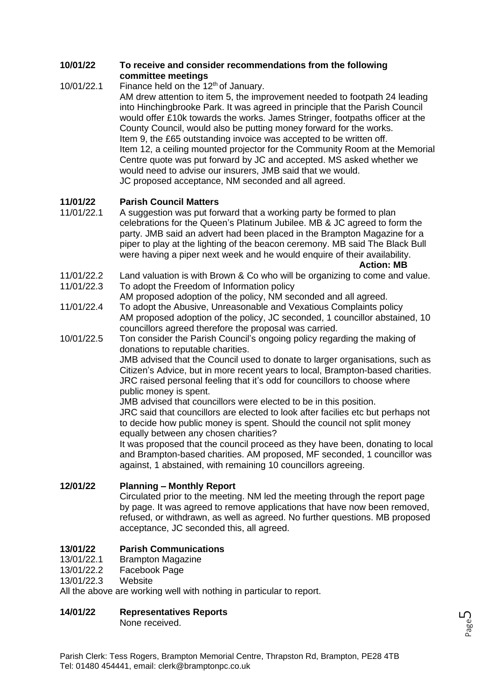### **10/01/22 To receive and consider recommendations from the following committee meetings**

### 10/01/22.1 Finance held on the 12<sup>th</sup> of January. AM drew attention to item 5, the improvement needed to footpath 24 leading into Hinchingbrooke Park. It was agreed in principle that the Parish Council would offer £10k towards the works. James Stringer, footpaths officer at the County Council, would also be putting money forward for the works. Item 9, the £65 outstanding invoice was accepted to be written off. Item 12, a ceiling mounted projector for the Community Room at the Memorial Centre quote was put forward by JC and accepted. MS asked whether we would need to advise our insurers, JMB said that we would. JC proposed acceptance, NM seconded and all agreed.

## **11/01/22 Parish Council Matters**

- 11/01/22.1 A suggestion was put forward that a working party be formed to plan celebrations for the Queen's Platinum Jubilee. MB & JC agreed to form the party. JMB said an advert had been placed in the Brampton Magazine for a piper to play at the lighting of the beacon ceremony. MB said The Black Bull were having a piper next week and he would enquire of their availability. **Action: MB**
- 11/01/22.2 Land valuation is with Brown & Co who will be organizing to come and value.
- 11/01/22.3 To adopt the Freedom of Information policy AM proposed adoption of the policy, NM seconded and all agreed.
- 11/01/22.4 To adopt the Abusive, Unreasonable and Vexatious Complaints policy AM proposed adoption of the policy, JC seconded, 1 councillor abstained, 10 councillors agreed therefore the proposal was carried.
- 10/01/22.5 Ton consider the Parish Council's ongoing policy regarding the making of donations to reputable charities.

JMB advised that the Council used to donate to larger organisations, such as Citizen's Advice, but in more recent years to local, Brampton-based charities. JRC raised personal feeling that it's odd for councillors to choose where public money is spent.

JMB advised that councillors were elected to be in this position.

JRC said that councillors are elected to look after facilies etc but perhaps not to decide how public money is spent. Should the council not split money equally between any chosen charities?

It was proposed that the council proceed as they have been, donating to local and Brampton-based charities. AM proposed, MF seconded, 1 councillor was against, 1 abstained, with remaining 10 councillors agreeing.

### **12/01/22 Planning – Monthly Report**

Circulated prior to the meeting. NM led the meeting through the report page by page. It was agreed to remove applications that have now been removed, refused, or withdrawn, as well as agreed. No further questions. MB proposed acceptance, JC seconded this, all agreed.

## **13/01/22 Parish Communications**

- 13/01/22.1 Brampton Magazine
- 13/01/22.2 Facebook Page
- 13/01/22.3 Website

All the above are working well with nothing in particular to report.

## **14/01/22 Representatives Reports**

None received.